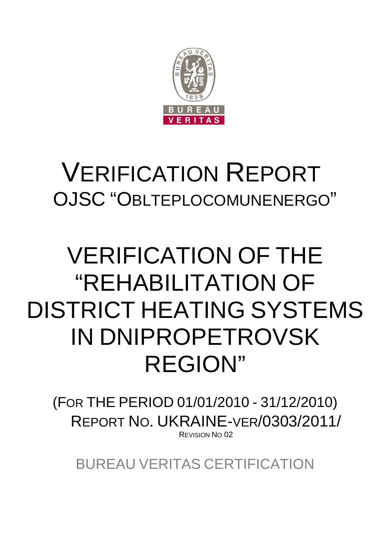

# VERIFICATION REPORT OJSC "OBLTEPLOCOMUNENERGO"

# VERIFICATION OF THE "REHABILITATION OF DISTRICT HEATING SYSTEMS IN DNIPROPETROVSK REGION"

(FOR THE PERIOD 01/01/2010 - 31/12/2010) REPORT NO. UKRAINE-VER/0303/2011/ REVISION NO 02

BUREAU VERITAS CERTIFICATION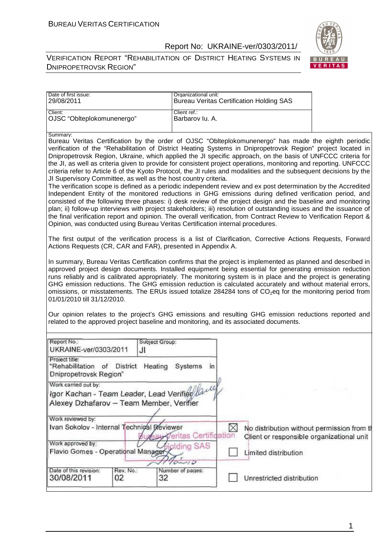VERIFICATION REPORT "REHABILITATION OF DISTRICT HEATING SYSTEMS IN DNIPROPETROVSK REGION"



| Date of first issue:<br>29/08/2011                                                                                                                                                                                                                                                                                                                                                                                                                                                                                                                                                                                                                                                                                                                                                                                                                                                                                                                                                                                                                                                                                                                                                                                                                                                                                                                                                                                                                                                                                                                                                                                                                                                                                                                                                                                                                                                                                                                                                                                                                                                                                                                                                                                                                                                                                                                 | Organizational unit:            | <b>Bureau Veritas Certification Holding SAS</b>                                                      |  |  |  |
|----------------------------------------------------------------------------------------------------------------------------------------------------------------------------------------------------------------------------------------------------------------------------------------------------------------------------------------------------------------------------------------------------------------------------------------------------------------------------------------------------------------------------------------------------------------------------------------------------------------------------------------------------------------------------------------------------------------------------------------------------------------------------------------------------------------------------------------------------------------------------------------------------------------------------------------------------------------------------------------------------------------------------------------------------------------------------------------------------------------------------------------------------------------------------------------------------------------------------------------------------------------------------------------------------------------------------------------------------------------------------------------------------------------------------------------------------------------------------------------------------------------------------------------------------------------------------------------------------------------------------------------------------------------------------------------------------------------------------------------------------------------------------------------------------------------------------------------------------------------------------------------------------------------------------------------------------------------------------------------------------------------------------------------------------------------------------------------------------------------------------------------------------------------------------------------------------------------------------------------------------------------------------------------------------------------------------------------------------|---------------------------------|------------------------------------------------------------------------------------------------------|--|--|--|
| Client:<br>OJSC "Oblteplokomunenergo"                                                                                                                                                                                                                                                                                                                                                                                                                                                                                                                                                                                                                                                                                                                                                                                                                                                                                                                                                                                                                                                                                                                                                                                                                                                                                                                                                                                                                                                                                                                                                                                                                                                                                                                                                                                                                                                                                                                                                                                                                                                                                                                                                                                                                                                                                                              | Client ref.:<br>Barbarov lu. A. |                                                                                                      |  |  |  |
| Summarv:<br>Bureau Veritas Certification by the order of OJSC "Oblteplokomunenergo" has made the eighth periodic<br>verification of the "Rehabilitation of District Heating Systems in Dnipropetrovsk Region" project located in<br>Dnipropetrovsk Region, Ukraine, which applied the JI specific approach, on the basis of UNFCCC criteria for<br>the JI, as well as criteria given to provide for consistent project operations, monitoring and reporting. UNFCCC<br>criteria refer to Article 6 of the Kyoto Protocol, the JI rules and modalities and the subsequent decisions by the<br>JI Supervisory Committee, as well as the host country criteria.<br>The verification scope is defined as a periodic independent review and ex post determination by the Accredited<br>Independent Entity of the monitored reductions in GHG emissions during defined verification period, and<br>consisted of the following three phases: i) desk review of the project design and the baseline and monitoring<br>plan; ii) follow-up interviews with project stakeholders; iii) resolution of outstanding issues and the issuance of<br>the final verification report and opinion. The overall verification, from Contract Review to Verification Report &<br>Opinion, was conducted using Bureau Veritas Certification internal procedures.<br>The first output of the verification process is a list of Clarification, Corrective Actions Requests, Forward<br>Actions Requests (CR, CAR and FAR), presented in Appendix A.<br>In summary, Bureau Veritas Certification confirms that the project is implemented as planned and described in<br>approved project design documents. Installed equipment being essential for generating emission reduction<br>runs reliably and is calibrated appropriately. The monitoring system is in place and the project is generating<br>GHG emission reductions. The GHG emission reduction is calculated accurately and without material errors,<br>omissions, or misstatements. The ERUs issued totalize 284284 tons of CO <sub>2</sub> eq for the monitoring period from<br>01/01/2010 till 31/12/2010.<br>Our opinion relates to the project's GHG emissions and resulting GHG emission reductions reported and<br>related to the approved project baseline and monitoring, and its associated documents. |                                 |                                                                                                      |  |  |  |
| Report No.:<br>UKRAINE-ver/0303/2011<br>JI                                                                                                                                                                                                                                                                                                                                                                                                                                                                                                                                                                                                                                                                                                                                                                                                                                                                                                                                                                                                                                                                                                                                                                                                                                                                                                                                                                                                                                                                                                                                                                                                                                                                                                                                                                                                                                                                                                                                                                                                                                                                                                                                                                                                                                                                                                         | Subject Group:                  |                                                                                                      |  |  |  |
| Project title:<br>"Rehabilitation of District Heating Systems<br>Dnipropetrovsk Region"                                                                                                                                                                                                                                                                                                                                                                                                                                                                                                                                                                                                                                                                                                                                                                                                                                                                                                                                                                                                                                                                                                                                                                                                                                                                                                                                                                                                                                                                                                                                                                                                                                                                                                                                                                                                                                                                                                                                                                                                                                                                                                                                                                                                                                                            | in                              |                                                                                                      |  |  |  |
| Work carried out by:<br>Igor Kachan - Team Leader, Lead Verifier (au<br>Alexey Dzhafarov - Team Member, Verifier                                                                                                                                                                                                                                                                                                                                                                                                                                                                                                                                                                                                                                                                                                                                                                                                                                                                                                                                                                                                                                                                                                                                                                                                                                                                                                                                                                                                                                                                                                                                                                                                                                                                                                                                                                                                                                                                                                                                                                                                                                                                                                                                                                                                                                   |                                 |                                                                                                      |  |  |  |
| Work reviewed by:<br>Ivan Sokolov - Internal Technical Reviewer<br>Work approved by:                                                                                                                                                                                                                                                                                                                                                                                                                                                                                                                                                                                                                                                                                                                                                                                                                                                                                                                                                                                                                                                                                                                                                                                                                                                                                                                                                                                                                                                                                                                                                                                                                                                                                                                                                                                                                                                                                                                                                                                                                                                                                                                                                                                                                                                               | Veritas Certification           | $\bowtie$<br>No distribution without permission from th<br>Client or responsible organizational unit |  |  |  |
| Flavio Gomes - Operational Manager                                                                                                                                                                                                                                                                                                                                                                                                                                                                                                                                                                                                                                                                                                                                                                                                                                                                                                                                                                                                                                                                                                                                                                                                                                                                                                                                                                                                                                                                                                                                                                                                                                                                                                                                                                                                                                                                                                                                                                                                                                                                                                                                                                                                                                                                                                                 | olding SAS<br>$\sim$ 10         | Limited distribution                                                                                 |  |  |  |
| Date of this revision:<br>Rev. No.:<br>30/08/2011<br>02                                                                                                                                                                                                                                                                                                                                                                                                                                                                                                                                                                                                                                                                                                                                                                                                                                                                                                                                                                                                                                                                                                                                                                                                                                                                                                                                                                                                                                                                                                                                                                                                                                                                                                                                                                                                                                                                                                                                                                                                                                                                                                                                                                                                                                                                                            | Number of pages:<br>32          | Unrestricted distribution                                                                            |  |  |  |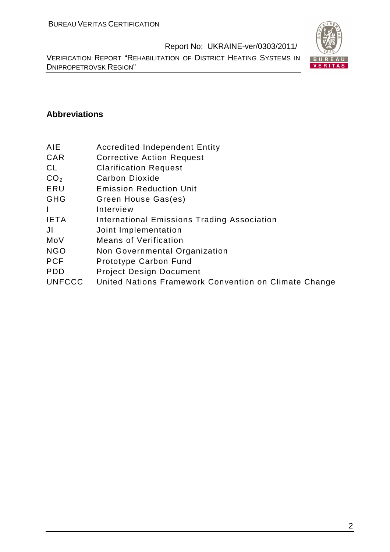VERIFICATION REPORT "REHABILITATION OF DISTRICT HEATING SYSTEMS IN DNIPROPETROVSK REGION"



#### **Abbreviations**

- AIE Accredited Independent Entity
- CAR Corrective Action Request
- CL Clarification Request
- CO<sub>2</sub> Carbon Dioxide
- ERU Emission Reduction Unit
- GHG Green House Gas(es)
- I Interview
- IETA International Emissions Trading Association
- JI Joint Implementation
- MoV Means of Verification
- NGO Non Governmental Organization
- PCF Prototype Carbon Fund
- PDD Project Design Document
- UNFCCC United Nations Framework Convention on Climate Change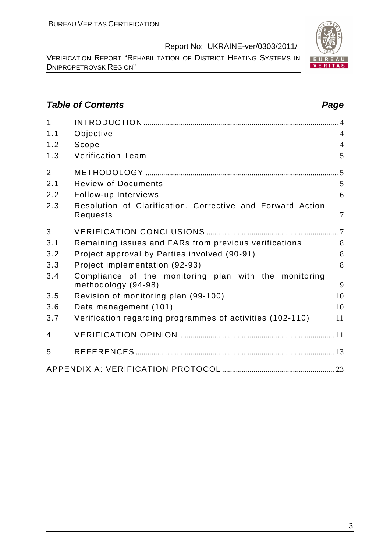VERIFICATION REPORT "REHABILITATION OF DISTRICT HEATING SYSTEMS IN DNIPROPETROVSK REGION"

# **Table of Contents Page 2014**

| $\mathbf{1}$   |                                                                        |                |
|----------------|------------------------------------------------------------------------|----------------|
| 1.1            | Objective                                                              | $\overline{4}$ |
| 1.2            | Scope                                                                  | $\overline{4}$ |
| 1.3            | <b>Verification Team</b>                                               | 5              |
| $\overline{2}$ |                                                                        |                |
| 2.1            | <b>Review of Documents</b>                                             | 5              |
| 2.2            | Follow-up Interviews                                                   | 6              |
| 2.3            | Resolution of Clarification, Corrective and Forward Action<br>Requests | $\overline{7}$ |
| 3              |                                                                        |                |
| 3.1            | Remaining issues and FARs from previous verifications                  | 8              |
| 3.2            | Project approval by Parties involved (90-91)                           | 8              |
| 3.3            | Project implementation (92-93)                                         | 8              |
| 3.4            | Compliance of the monitoring plan with the monitoring                  | 9              |
| 3.5            | methodology (94-98)<br>Revision of monitoring plan (99-100)            | 10             |
| 3.6            | Data management (101)                                                  | 10             |
| 3.7            | Verification regarding programmes of activities (102-110)              | 11             |
|                |                                                                        |                |
| 4              |                                                                        |                |
| 5              |                                                                        |                |
|                |                                                                        |                |

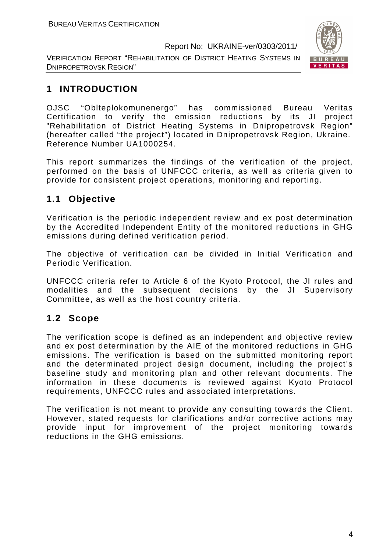VERIFICATION REPORT "REHABILITATION OF DISTRICT HEATING SYSTEMS IN DNIPROPETROVSK REGION"



# **1 INTRODUCTION**

OJSC "Oblteplokomunenergo" has commissioned Bureau Veritas Certification to verify the emission reductions by its JI project "Rehabilitation of District Heating Systems in Dnipropetrovsk Region" (hereafter called "the project") located in Dnipropetrovsk Region, Ukraine. Reference Number UA1000254.

This report summarizes the findings of the verification of the project, performed on the basis of UNFCCC criteria, as well as criteria given to provide for consistent project operations, monitoring and reporting.

# **1.1 Objective**

Verification is the periodic independent review and ex post determination by the Accredited Independent Entity of the monitored reductions in GHG emissions during defined verification period.

The objective of verification can be divided in Initial Verification and Periodic Verification.

UNFCCC criteria refer to Article 6 of the Kyoto Protocol, the JI rules and modalities and the subsequent decisions by the JI Supervisory Committee, as well as the host country criteria.

# **1.2 Scope**

The verification scope is defined as an independent and objective review and ex post determination by the AIE of the monitored reductions in GHG emissions. The verification is based on the submitted monitoring report and the determinated project design document, including the project's baseline study and monitoring plan and other relevant documents. The information in these documents is reviewed against Kyoto Protocol requirements, UNFCCC rules and associated interpretations.

The verification is not meant to provide any consulting towards the Client. However, stated requests for clarifications and/or corrective actions may provide input for improvement of the project monitoring towards reductions in the GHG emissions.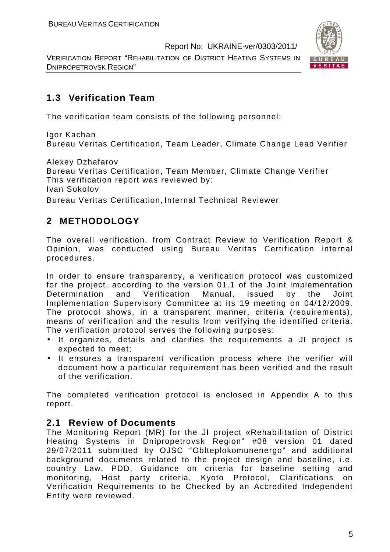VERIFICATION REPORT "REHABILITATION OF DISTRICT HEATING SYSTEMS IN DNIPROPETROVSK REGION"



# **1.3 Verification Team**

The verification team consists of the following personnel:

Igor Kachan Bureau Veritas Certification, Team Leader, Climate Change Lead Verifier

Alexey Dzhafarov

Bureau Veritas Certification, Team Member, Climate Change Verifier This verification report was reviewed by: Ivan Sokolov

Bureau Veritas Certification, Internal Technical Reviewer

# **2 METHODOLOGY**

The overall verification, from Contract Review to Verification Report & Opinion, was conducted using Bureau Veritas Certification internal procedures.

In order to ensure transparency, a verification protocol was customized for the project, according to the version 01.1 of the Joint Implementation Determination and Verification Manual, issued by the Joint Implementation Supervisory Committee at its 19 meeting on 04/12/2009. The protocol shows, in a transparent manner, criteria (requirements), means of verification and the results from verifying the identified criteria. The verification protocol serves the following purposes:

- It organizes, details and clarifies the requirements a JI project is expected to meet;
- It ensures a transparent verification process where the verifier will document how a particular requirement has been verified and the result of the verification.

The completed verification protocol is enclosed in Appendix A to this report.

# **2.1 Review of Documents**

The Monitoring Report (MR) for the JI project «Rehabilitation of District Heating Systems in Dnipropetrovsk Region" #08 version 01 dated 29/07/2011 submitted by OJSC "Oblteplokomunenergo" and additional background documents related to the project design and baseline, i.e. country Law, PDD, Guidance on criteria for baseline setting and monitoring, Host party criteria, Kyoto Protocol, Clarifications on Verification Requirements to be Checked by an Accredited Independent Entity were reviewed.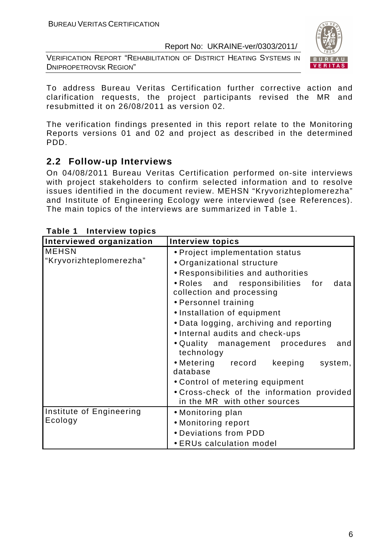VERIFICATION REPORT "REHABILITATION OF DISTRICT HEATING SYSTEMS IN DNIPROPETROVSK REGION"



To address Bureau Veritas Certification further corrective action and clarification requests, the project participants revised the MR and resubmitted it on 26/08/2011 as version 02.

The verification findings presented in this report relate to the Monitoring Reports versions 01 and 02 and project as described in the determined PDD.

# **2.2 Follow-up Interviews**

On 04/08/2011 Bureau Veritas Certification performed on-site interviews with project stakeholders to confirm selected information and to resolve issues identified in the document review. MEHSN "Kryvorizhteplomerezha" and Institute of Engineering Ecology were interviewed (see References). The main topics of the interviews are summarized in Table 1.

| Interviewed organization                | <b>Interview topics</b>                                                                                                                                                                                                                                                                                           |
|-----------------------------------------|-------------------------------------------------------------------------------------------------------------------------------------------------------------------------------------------------------------------------------------------------------------------------------------------------------------------|
| <b>MEHSN</b><br>"Kryvorizhteplomerezha" | • Project implementation status<br>• Organizational structure<br>• Responsibilities and authorities<br>. Roles and responsibilities for<br>data<br>collection and processing<br>• Personnel training<br>• Installation of equipment<br>• Data logging, archiving and reporting<br>• Internal audits and check-ups |
|                                         | • Quality management procedures<br>and<br>technology<br>• Metering record keeping<br>system,<br>database                                                                                                                                                                                                          |
|                                         | • Control of metering equipment<br>• Cross-check of the information provided<br>in the MR with other sources                                                                                                                                                                                                      |
| Institute of Engineering<br>Ecology     | • Monitoring plan<br>• Monitoring report<br>• Deviations from PDD<br>• ERUs calculation model                                                                                                                                                                                                                     |

#### **Table 1 Interview topics**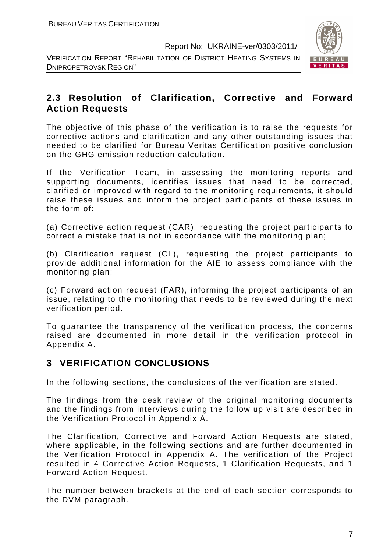VERIFICATION REPORT "REHABILITATION OF DISTRICT HEATING SYSTEMS IN DNIPROPETROVSK REGION"



# **2.3 Resolution of Clarification, Corrective and Forward Action Requests**

The objective of this phase of the verification is to raise the requests for corrective actions and clarification and any other outstanding issues that needed to be clarified for Bureau Veritas Certification positive conclusion on the GHG emission reduction calculation.

If the Verification Team, in assessing the monitoring reports and supporting documents, identifies issues that need to be corrected, clarified or improved with regard to the monitoring requirements, it should raise these issues and inform the project participants of these issues in the form of:

(a) Corrective action request (CAR), requesting the project participants to correct a mistake that is not in accordance with the monitoring plan;

(b) Clarification request (CL), requesting the project participants to provide additional information for the AIE to assess compliance with the monitoring plan;

(c) Forward action request (FAR), informing the project participants of an issue, relating to the monitoring that needs to be reviewed during the next verification period.

To guarantee the transparency of the verification process, the concerns raised are documented in more detail in the verification protocol in Appendix A.

# **3 VERIFICATION CONCLUSIONS**

In the following sections, the conclusions of the verification are stated.

The findings from the desk review of the original monitoring documents and the findings from interviews during the follow up visit are described in the Verification Protocol in Appendix A.

The Clarification, Corrective and Forward Action Requests are stated, where applicable, in the following sections and are further documented in the Verification Protocol in Appendix A. The verification of the Project resulted in 4 Corrective Action Requests, 1 Clarification Requests, and 1 Forward Action Request.

The number between brackets at the end of each section corresponds to the DVM paragraph.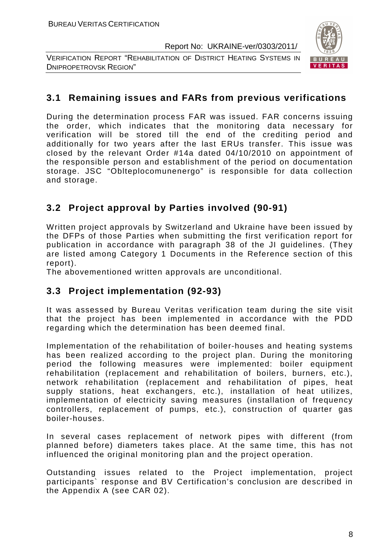VERIFICATION REPORT "REHABILITATION OF DISTRICT HEATING SYSTEMS IN DNIPROPETROVSK REGION"



# **3.1 Remaining issues and FARs from previous verifications**

During the determination process FAR was issued. FAR concerns issuing the order, which indicates that the monitoring data necessary for verification will be stored till the end of the crediting period and additionally for two years after the last ERUs transfer. This issue was closed by the relevant Order #14a dated 04/10/2010 on appointment of the responsible person and establishment of the period on documentation storage. JSC "Oblteplocomunenergo" is responsible for data collection and storage.

# **3.2 Project approval by Parties involved (90-91)**

Written project approvals by Switzerland and Ukraine have been issued by the DFPs of those Parties when submitting the first verification report for publication in accordance with paragraph 38 of the JI guidelines. (They are listed among Category 1 Documents in the Reference section of this report).

The abovementioned written approvals are unconditional.

# **3.3 Project implementation (92-93)**

It was assessed by Bureau Veritas verification team during the site visit that the project has been implemented in accordance with the PDD regarding which the determination has been deemed final.

Implementation of the rehabilitation of boiler-houses and heating systems has been realized according to the project plan. During the monitoring period the following measures were implemented: boiler equipment rehabilitation (replacement and rehabilitation of boilers, burners, etc.), network rehabilitation (replacement and rehabilitation of pipes, heat supply stations, heat exchangers, etc.), installation of heat utilizes, implementation of electricity saving measures (installation of frequency controllers, replacement of pumps, etc.), construction of quarter gas boiler-houses.

In several cases replacement of network pipes with different (from planned before) diameters takes place. At the same time, this has not influenced the original monitoring plan and the project operation.

Outstanding issues related to the Project implementation, project participants` response and BV Certification's conclusion are described in the Appendix A (see CAR 02).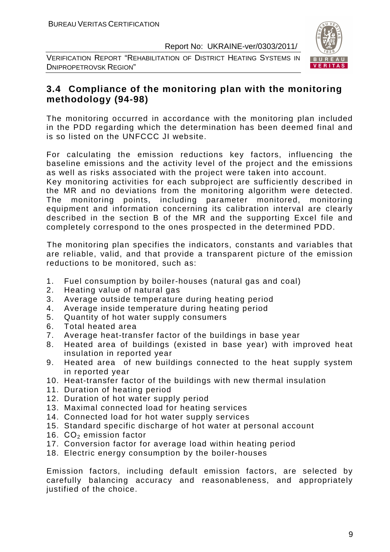VERIFICATION REPORT "REHABILITATION OF DISTRICT HEATING SYSTEMS IN DNIPROPETROVSK REGION"



# **3.4 Compliance of the monitoring plan with the monitoring methodology (94-98)**

The monitoring occurred in accordance with the monitoring plan included in the PDD regarding which the determination has been deemed final and is so listed on the UNFCCC JI website.

For calculating the emission reductions key factors, influencing the baseline emissions and the activity level of the project and the emissions as well as risks associated with the project were taken into account.

Key monitoring activities for each subproject are sufficiently described in the MR and no deviations from the monitoring algorithm were detected. The monitoring points, including parameter monitored, monitoring equipment and information concerning its calibration interval are clearly described in the section B of the MR and the supporting Excel file and completely correspond to the ones prospected in the determined PDD.

The monitoring plan specifies the indicators, constants and variables that are reliable, valid, and that provide a transparent picture of the emission reductions to be monitored, such as:

- 1. Fuel consumption by boiler-houses (natural gas and coal)
- 2. Heating value of natural gas
- 3. Average outside temperature during heating period
- 4. Average inside temperature during heating period
- 5. Quantity of hot water supply consumers
- 6. Total heated area
- 7. Average heat-transfer factor of the buildings in base year
- 8. Heated area of buildings (existed in base year) with improved heat insulation in reported year
- 9. Heated area of new buildings connected to the heat supply system in reported year
- 10. Heat-transfer factor of the buildings with new thermal insulation
- 11. Duration of heating period
- 12. Duration of hot water supply period
- 13. Maximal connected load for heating services
- 14. Connected load for hot water supply services
- 15. Standard specific discharge of hot water at personal account
- 16.  $CO<sub>2</sub>$  emission factor
- 17. Conversion factor for average load within heating period
- 18. Electric energy consumption by the boiler-houses

Emission factors, including default emission factors, are selected by carefully balancing accuracy and reasonableness, and appropriately justified of the choice.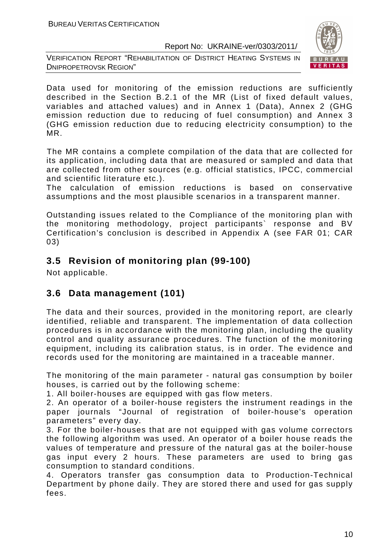VERIFICATION REPORT "REHABILITATION OF DISTRICT HEATING SYSTEMS IN DNIPROPETROVSK REGION"



Data used for monitoring of the emission reductions are sufficiently described in the Section B.2.1 of the MR (List of fixed default values, variables and attached values) and in Annex 1 (Data), Annex 2 (GHG emission reduction due to reducing of fuel consumption) and Annex 3 (GHG emission reduction due to reducing electricity consumption) to the MR.

The MR contains a complete compilation of the data that are collected for its application, including data that are measured or sampled and data that are collected from other sources (e.g. official statistics, IPCC, commercial and scientific literature etc.).

The calculation of emission reductions is based on conservative assumptions and the most plausible scenarios in a transparent manner.

Outstanding issues related to the Compliance of the monitoring plan with the monitoring methodology, project participants` response and BV Certification's conclusion is described in Appendix A (see FAR 01; CAR 03)

# **3.5 Revision of monitoring plan (99-100)**

Not applicable.

# **3.6 Data management (101)**

The data and their sources, provided in the monitoring report, are clearly identified, reliable and transparent. The implementation of data collection procedures is in accordance with the monitoring plan, including the quality control and quality assurance procedures. The function of the monitoring equipment, including its calibration status, is in order. The evidence and records used for the monitoring are maintained in a traceable manner.

The monitoring of the main parameter - natural gas consumption by boiler houses, is carried out by the following scheme:

1. All boiler-houses are equipped with gas flow meters.

2. An operator of a boiler-house registers the instrument readings in the paper journals "Journal of registration of boiler-house's operation parameters" every day.

3. For the boiler-houses that are not equipped with gas volume correctors the following algorithm was used. An operator of a boiler house reads the values of temperature and pressure of the natural gas at the boiler-house gas input every 2 hours. These parameters are used to bring gas consumption to standard conditions.

4. Operators transfer gas consumption data to Production-Technical Department by phone daily. They are stored there and used for gas supply fees.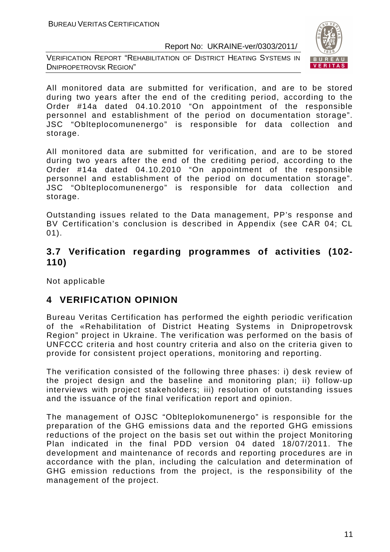VERIFICATION REPORT "REHABILITATION OF DISTRICT HEATING SYSTEMS IN DNIPROPETROVSK REGION"



All monitored data are submitted for verification, and are to be stored during two years after the end of the crediting period, according to the Order #14a dated 04.10.2010 "On appointment of the responsible personnel and establishment of the period on documentation storage". JSC "Oblteplocomunenergo" is responsible for data collection and storage.

All monitored data are submitted for verification, and are to be stored during two years after the end of the crediting period, according to the Order #14a dated 04.10.2010 "On appointment of the responsible personnel and establishment of the period on documentation storage". JSC "Oblteplocomunenergo" is responsible for data collection and storage.

Outstanding issues related to the Data management, PP's response and BV Certification's conclusion is described in Appendix (see CAR 04; CL 01).

# **3.7 Verification regarding programmes of activities (102- 110)**

Not applicable

# **4 VERIFICATION OPINION**

Bureau Veritas Certification has performed the eighth periodic verification of the «Rehabilitation of District Heating Systems in Dnipropetrovsk Region" project in Ukraine. The verification was performed on the basis of UNFCCC criteria and host country criteria and also on the criteria given to provide for consistent project operations, monitoring and reporting.

The verification consisted of the following three phases: i) desk review of the project design and the baseline and monitoring plan; ii) follow-up interviews with project stakeholders; iii) resolution of outstanding issues and the issuance of the final verification report and opinion.

The management of OJSC "Oblteplokomunenergo" is responsible for the preparation of the GHG emissions data and the reported GHG emissions reductions of the project on the basis set out within the project Monitoring Plan indicated in the final PDD version 04 dated 18/07/2011. The development and maintenance of records and reporting procedures are in accordance with the plan, including the calculation and determination of GHG emission reductions from the project, is the responsibility of the management of the project.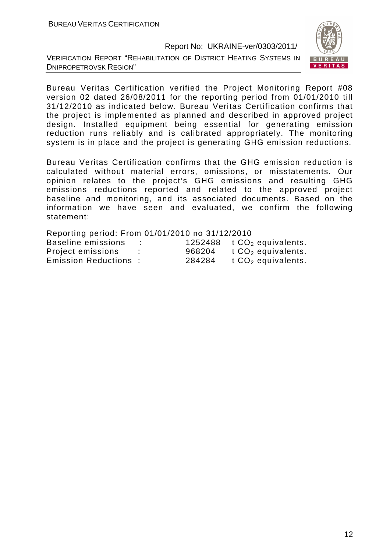VERIFICATION REPORT "REHABILITATION OF DISTRICT HEATING SYSTEMS IN DNIPROPETROVSK REGION"



Bureau Veritas Certification verified the Project Monitoring Report #08 version 02 dated 26/08/2011 for the reporting period from 01/01/2010 till 31/12/2010 as indicated below. Bureau Veritas Certification confirms that the project is implemented as planned and described in approved project design. Installed equipment being essential for generating emission reduction runs reliably and is calibrated appropriately. The monitoring system is in place and the project is generating GHG emission reductions.

Bureau Veritas Certification confirms that the GHG emission reduction is calculated without material errors, omissions, or misstatements. Our opinion relates to the project's GHG emissions and resulting GHG emissions reductions reported and related to the approved project baseline and monitoring, and its associated documents. Based on the information we have seen and evaluated, we confirm the following statement:

| Reporting period: From 01/01/2010 по 31/12/2010 |   |        |                                  |
|-------------------------------------------------|---|--------|----------------------------------|
| Baseline emissions                              |   |        | 1252488 $t CO2$ equivalents.     |
| Project emissions                               | ÷ | 968204 | $t$ CO <sub>2</sub> equivalents. |
| <b>Emission Reductions:</b>                     |   | 284284 | t $CO2$ equivalents.             |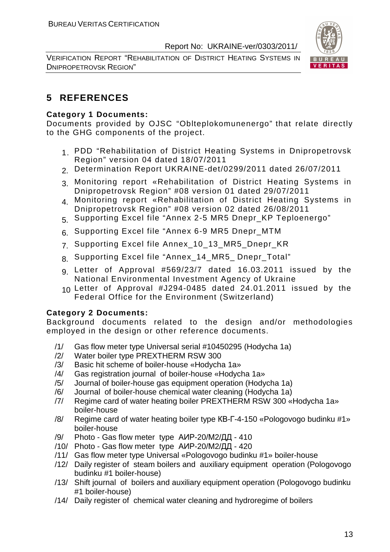VERIFICATION REPORT "REHABILITATION OF DISTRICT HEATING SYSTEMS IN DNIPROPETROVSK REGION"



# **5 REFERENCES**

#### **Category 1 Documents:**

Documents provided by OJSC "Oblteplokomunenergo" that relate directly to the GHG components of the project.

- 1. PDD "Rehabilitation of District Heating Systems in Dnipropetrovsk Region" version 04 dated 18/07/2011
- 2. Determination Report UKRAINE-det/0299/2011 dated 26/07/2011
- 3. Monitoring report «Rehabilitation of District Heating Systems in Dnipropetrovsk Region" #08 version 01 dated 29/07/2011
- 4. Monitoring report «Rehabilitation of District Heating Systems in Dnipropetrovsk Region" #08 version 02 dated 26/08/2011
- 5. Supporting Excel file "Annex 2-5 MR5 Dnepr\_KP Teploenergo"
- 6. Supporting Excel file "Annex 6-9 MR5 Dnepr\_MTM
- 7. Supporting Excel file Annex\_10\_13\_MR5\_Dnepr\_KR
- 8. Supporting Excel file "Annex\_14 MR5 Dnepr Total"
- 9. Letter of Approval #569/23/7 dated 16.03.2011 issued by the National Environmental Investment Agency of Ukraine
- 10. Letter of Approval #J294-0485 dated 24.01.2011 issued by the Federal Office for the Environment (Switzerland)

#### **Category 2 Documents:**

Background documents related to the design and/or methodologies employed in the design or other reference documents.

- /1/ Gas flow meter type Universal serial #10450295 (Hodycha 1a)
- /2/ Water boiler type PREXTHERM RSW 300
- /3/ Basic hit scheme of boiler-house «Hodycha 1a»
- /4/ Gas registration journal of boiler-house «Hodycha 1a»
- /5/ Journal of boiler-house gas equipment operation (Hodycha 1a)
- /6/ Journal of boiler-house chemical water cleaning (Hodycha 1a)
- /7/ Regime card of water heating boiler PREXTHERM RSW 300 «Hodycha 1a» boiler-house
- /8/ Regime card of water heating boiler type КВ-Г-4-150 «Pologovogo budinku #1» boiler-house
- /9/ Photo Gas flow meter type АИР-20/М2/ДД 410
- /10/ Photo Gas flow meter type АИР-20/М2/ДД 420
- /11/ Gas flow meter type Universal «Pologovogo budinku #1» boiler-house
- /12/ Daily register of steam boilers and auxiliary equipment operation (Pologovogo budinku #1 boiler-house)
- /13/ Shift journal of boilers and auxiliary equipment operation (Pologovogo budinku #1 boiler-house)
- /14/ Daily register of chemical water cleaning and hydroregime of boilers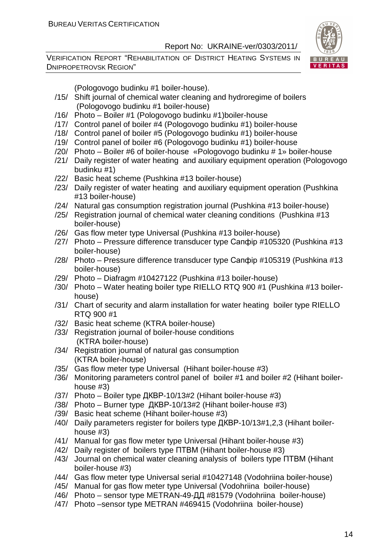VERIFICATION REPORT "REHABILITATION OF DISTRICT HEATING SYSTEMS IN DNIPROPETROVSK REGION"



(Pologovogo budinku #1 boiler-house).

- /15/ Shift journal of chemical water cleaning and hydroregime of boilers (Pologovogo budinku #1 boiler-house)
- /16/ Photo Boiler #1 (Pologovogo budinku #1)boiler-house
- /17/ Control panel of boiler #4 (Pologovogo budinku #1) boiler-house
- /18/ Control panel of boiler #5 (Pologovogo budinku #1) boiler-house
- /19/ Control panel of boiler #6 (Pologovogo budinku #1) boiler-house
- /20/ Photo Boiler #6 of boiler-house «Pologovogo budinku # 1» boiler-house
- /21/ Daily register of water heating and auxiliary equipment operation (Pologovogo budinku #1)
- /22/ Basic heat scheme (Pushkina #13 boiler-house)
- /23/ Daily register of water heating and auxiliary equipment operation (Pushkina #13 boiler-house)
- /24/ Natural gas consumption registration journal (Pushkina #13 boiler-house)
- /25/ Registration journal of chemical water cleaning conditions (Pushkina #13 boiler-house)
- /26/ Gas flow meter type Universal (Pushkina #13 boiler-house)
- /27/ Photo Pressure difference transducer type Сапфір #105320 (Pushkina #13 boiler-house)
- /28/ Photo Pressure difference transducer type Сапфір #105319 (Pushkina #13 boiler-house)
- /29/ Photo Diafragm #10427122 (Pushkina #13 boiler-house)
- /30/ Photo Water heating boiler type RIELLO RTQ 900 #1 (Pushkina #13 boilerhouse)
- /31/ Chart of security and alarm installation for water heating boiler type RIELLO RTQ 900 #1
- /32/ Basic heat scheme (KTRA boiler-house)
- /33/ Registration journal of boiler-house conditions (KTRA boiler-house)
- /34/ Registration journal of natural gas consumption (KTRA boiler-house)
- /35/ Gas flow meter type Universal (Hihant boiler-house #3)
- /36/ Monitoring parameters control panel of boiler #1 and boiler #2 (Hihant boilerhouse #3)
- /37/ Photo Boiler type ДКВР-10/13#2 (Hihant boiler-house #3)
- /38/ Photo Burner type ДКВР-10/13#2 (Hihant boiler-house #3)
- /39/ Basic heat scheme (Hihant boiler-house #3)
- /40/ Daily parameters register for boilers type ДКВР-10/13#1,2,3 (Hihant boilerhouse #3)
- /41/ Manual for gas flow meter type Universal (Hihant boiler-house #3)
- /42/ Daily register of boilers type ПТВМ (Hihant boiler-house #3)
- /43/ Journal on chemical water cleaning analysis of boilers type ПТВМ (Hihant boiler-house #3)
- /44/ Gas flow meter type Universal serial #10427148 (Vodohriina boiler-house)
- /45/ Manual for gas flow meter type Universal (Vodohriina boiler-house)
- /46/ Photo sensor type METRAN-49-ДД #81579 (Vodohriina boiler-house)
- /47/ Photo –sensor type METRAN #469415 (Vodohriina boiler-house)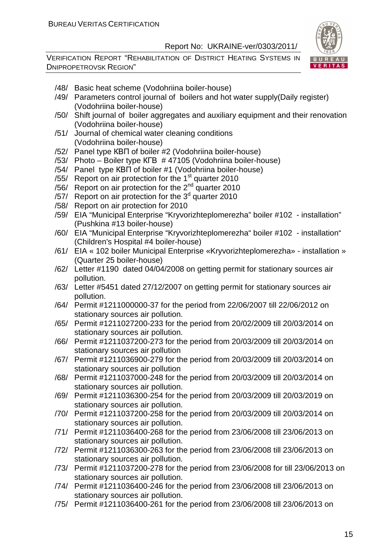

- /48/ Basic heat scheme (Vodohriina boiler-house)
- /49/ Parameters control journal of boilers and hot water supply(Daily register) (Vodohriina boiler-house)
- /50/ Shift journal of boiler aggregates and auxiliary equipment and their renovation (Vodohriina boiler-house)
- /51/ Journal of chemical water cleaning conditions (Vodohriina boiler-house)
- /52/ Panel type КВП of boiler #2 (Vodohriina boiler-house)
- /53/ Photo Boiler type КГВ # 47105 (Vodohriina boiler-house)
- /54/ Panel type КВП of boiler #1 (Vodohriina boiler-house)
- /55/ Report on air protection for the  $1<sup>st</sup>$  quarter 2010
- /56/ Report on air protection for the 2nd quarter 2010
- /57/ Report on air protection for the  $3<sup>d</sup>$  quarter 2010
- /58/ Report on air protection for 2010
- /59/ EIA "Municipal Enterprise "Kryvorizhteplomerezha" boiler #102 installation" (Pushkina #13 boiler-house)
- /60/ EIA "Municipal Enterprise "Kryvorizhteplomerezha" boiler #102 installation" (Children's Hospital #4 boiler-house)
- /61/ EIA « 102 boiler Municipal Enterprise «Kryvorizhteplomerezha» installation » (Quarter 25 boiler-house)
- /62/ Letter #1190 dated 04/04/2008 on getting permit for stationary sources air pollution.
- /63/ Letter #5451 dated 27/12/2007 on getting permit for stationary sources air pollution.
- /64/ Permit #1211000000-37 for the period from 22/06/2007 till 22/06/2012 on stationary sources air pollution.
- /65/ Permit #1211027200-233 for the period from 20/02/2009 till 20/03/2014 on stationary sources air pollution.
- /66/ Permit #1211037200-273 for the period from 20/03/2009 till 20/03/2014 on stationary sources air pollution
- /67/ Permit #1211036900-279 for the period from 20/03/2009 till 20/03/2014 on stationary sources air pollution
- /68/ Permit #1211037000-248 for the period from 20/03/2009 till 20/03/2014 on stationary sources air pollution.
- /69/ Permit #1211036300-254 for the period from 20/03/2009 till 20/03/2019 on stationary sources air pollution.
- /70/ Permit #1211037200-258 for the period from 20/03/2009 till 20/03/2014 on stationary sources air pollution.
- /71/ Permit #1211036400-268 for the period from 23/06/2008 till 23/06/2013 on stationary sources air pollution.
- /72/ Permit #1211036300-263 for the period from 23/06/2008 till 23/06/2013 on stationary sources air pollution.
- /73/ Permit #1211037200-278 for the period from 23/06/2008 for till 23/06/2013 on stationary sources air pollution.
- /74/ Permit #1211036400-246 for the period from 23/06/2008 till 23/06/2013 on stationary sources air pollution.
- /75/ Permit #1211036400-261 for the period from 23/06/2008 till 23/06/2013 on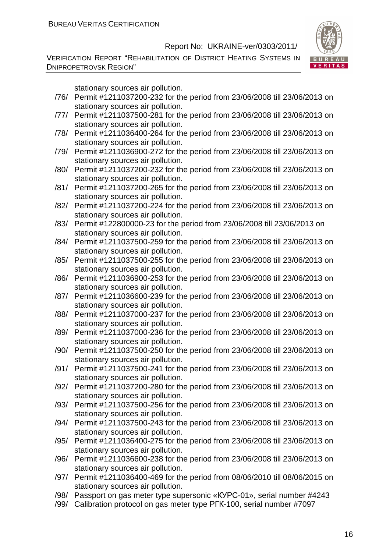VERIFICATION REPORT "REHABILITATION OF DISTRICT HEATING SYSTEMS IN DNIPROPETROVSK REGION"



stationary sources air pollution.

- /76/ Permit #1211037200-232 for the period from 23/06/2008 till 23/06/2013 on stationary sources air pollution.
- /77/ Permit #1211037500-281 for the period from 23/06/2008 till 23/06/2013 on stationary sources air pollution.
- /78/ Permit #1211036400-264 for the period from 23/06/2008 till 23/06/2013 on stationary sources air pollution.
- /79/ Permit #1211036900-272 for the period from 23/06/2008 till 23/06/2013 on stationary sources air pollution.
- /80/ Permit #1211037200-232 for the period from 23/06/2008 till 23/06/2013 on stationary sources air pollution.
- /81/ Permit #1211037200-265 for the period from 23/06/2008 till 23/06/2013 on stationary sources air pollution.
- /82/ Permit #1211037200-224 for the period from 23/06/2008 till 23/06/2013 on stationary sources air pollution.
- /83/ Permit #122800000-23 for the period from 23/06/2008 till 23/06/2013 on stationary sources air pollution.
- /84/ Permit #1211037500-259 for the period from 23/06/2008 till 23/06/2013 on stationary sources air pollution.
- /85/ Permit #1211037500-255 for the period from 23/06/2008 till 23/06/2013 on stationary sources air pollution.
- /86/ Permit #1211036900-253 for the period from 23/06/2008 till 23/06/2013 on stationary sources air pollution.
- /87/ Permit #1211036600-239 for the period from 23/06/2008 till 23/06/2013 on stationary sources air pollution.
- /88/ Permit #1211037000-237 for the period from 23/06/2008 till 23/06/2013 on stationary sources air pollution.
- /89/ Permit #1211037000-236 for the period from 23/06/2008 till 23/06/2013 on stationary sources air pollution.
- /90/ Permit #1211037500-250 for the period from 23/06/2008 till 23/06/2013 on stationary sources air pollution.
- /91/ Permit #1211037500-241 for the period from 23/06/2008 till 23/06/2013 on stationary sources air pollution.
- /92/ Permit #1211037200-280 for the period from 23/06/2008 till 23/06/2013 on stationary sources air pollution.
- /93/ Permit #1211037500-256 for the period from 23/06/2008 till 23/06/2013 on stationary sources air pollution.
- /94/ Permit #1211037500-243 for the period from 23/06/2008 till 23/06/2013 on stationary sources air pollution.
- /95/ Permit #1211036400-275 for the period from 23/06/2008 till 23/06/2013 on stationary sources air pollution.
- /96/ Permit #1211036600-238 for the period from 23/06/2008 till 23/06/2013 on stationary sources air pollution.
- /97/ Permit #1211036400-469 for the period from 08/06/2010 till 08/06/2015 on stationary sources air pollution.
- /98/ Passport on gas meter type supersonic «КУРС-01», serial number #4243
- /99/ Calibration protocol on gas meter type РГК-100, serial number #7097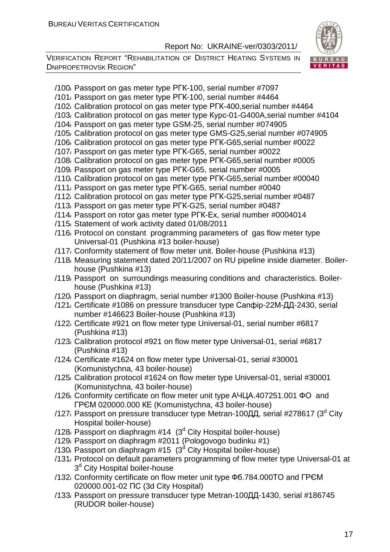

- /100/ Passport on gas meter type РГК-100, serial number #7097
- /101/ Passport on gas meter type РГК-100, serial number #4464
- /102/ Calibration protocol on gas meter type РГК-400,serial number #4464
- /103/ Calibration protocol on gas meter type Курс-01-G400A,serial number #4104
- /104/ Passport on gas meter type GSM-25, serial number #074905
- /105/ Calibration protocol on gas meter type GMS-G25,serial number #074905
- /106/ Calibration protocol on gas meter type РГК-G65,serial number #0022
- /107/ Passport on gas meter type РГК-G65, serial number #0022
- /108/ Calibration protocol on gas meter type РГК-G65,serial number #0005
- /109/ Passport on gas meter type РГК-G65, serial number #0005
- /110/ Calibration protocol on gas meter type РГК-G65,serial number #00040
- /111/ Passport on gas meter type РГК-G65, serial number #0040
- /112/ Calibration protocol on gas meter type РГК-G25,serial number #0487
- /113/ Passport on gas meter type РГК-G25, serial number #0487
- /114/ Passport on rotor gas meter type РГК-Ех, serial number #0004014
- /115/ Statement of work activity dated 01/08/2011
- /116/ Protocol on constant programming parameters of gas flow meter type Universal-01 (Pushkina #13 boiler-house)
- /117/ Conformity statement of flow meter unit. Boiler-house (Pushkina #13)
- /118/ Measuring statement dated 20/11/2007 on RU pipeline inside diameter. Boilerhouse (Pushkina #13)
- /119/ Passport on surroundings measuring conditions and characteristics. Boilerhouse (Pushkina #13)
- /120/ Passport on diaphragm, serial number #1300 Boiler-house (Pushkina #13)
- /121/ Сertificate #1086 on pressure transducer type Сапфір-22М-ДД-2430, serial number #146623 Boiler-house (Pushkina #13)
- /122/ Сertificate #921 on flow meter type Universal-01, serial number #6817 (Pushkina #13)
- /123/ Calibration protocol #921 on flow meter type Universal-01, serial #6817 (Pushkina #13)
- /124/ Certificate #1624 on flow meter type Universal-01, serial #30001 (Komunistychna, 43 boiler-house)
- /125/ Calibration protocol #1624 on flow meter type Universal-01, serial #30001 (Komunistychna, 43 boiler-house)
- /126/ Conformity certificate on flow meter unit type АЧЦА.407251.001 ФО and ГРЄМ 020000.000 КЕ (Komunistychna, 43 boiler-house)
- /127, Passport on pressure transducer type Metran-100ДД, serial #278617 (3<sup>d</sup> City Hospital boiler-house)
- $/128$ , Passport on diaphragm #14 (3<sup>d</sup> City Hospital boiler-house)
- /129/ Passport on diaphragm #2011 (Pologovogo budinku #1)
- /130, Passport on diaphragm #15  $(3<sup>d</sup>$  City Hospital boiler-house)
- /131/ Protocol on default parameters programming of flow meter type Universal-01 at 3<sup>d</sup> City Hospital boiler-house
- /132/ Conformity certificate on flow meter unit type Фб.784.000ТО and ГРЄМ 020000.001-02 ПС (3d City Hospital)
- /133/ Passport on pressure transducer type Metran-100ДД-1430, serial #186745 (RUDOR boiler-house)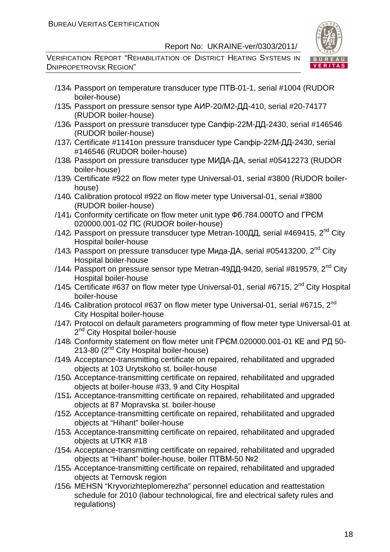

- /134/ Passport on temperature transducer type ПТВ-01-1, serial #1004 (RUDOR boiler-house)
- /135/ Passport on pressure sensor type АИР-20/М2-ДД-410, serial #20-74177 (RUDOR boiler-house)
- /136/ Passport on pressure transducer type Сапфір-22М-ДД-2430, serial #146546 (RUDOR boiler-house)
- /137/ Certificate #1141on pressure transducer type Сапфір-22М-ДД-2430, serial #146546 (RUDOR boiler-house)
- /138/ Passport on pressure transducer type МИДА-ДА, serial #05412273 (RUDOR boiler-house)
- /139/ Certificate #922 on flow meter type Universal-01, serial #3800 (RUDOR boilerhouse)
- /140/ Calibration protocol #922 on flow meter type Universal-01, serial #3800 (RUDOR boiler-house)
- /141/ Conformity certificate on flow meter unit type Фб.784.000ТО and ГРЄМ 020000.001-02 ПС (RUDOR boiler-house)
- /142/ Passport on pressure transducer type Metran-100ДД, serial #469415,  $2^{nd}$  City Hospital boiler-house
- /143, Passport on pressure transducer type Мида-ДА, serial #05413200,  $2^{nd}$  City Hospital boiler-house
- /144, Passport on pressure sensor type Metran-49ДД-9420, serial #819579, 2<sup>nd</sup> Citv Hospital boiler-house
- /145, Certificate #637 on flow meter type Universal-01, serial #6715,  $2^{nd}$  City Hospital boiler-house
- /146/ Calibration protocol #637 on flow meter type Universal-01, serial #6715,  $2^{nd}$ City Hospital boiler-house
- /147/ Protocol on default parameters programming of flow meter type Universal-01 at 2<sup>nd</sup> City Hospital boiler-house
- /148/ Conformity statement on flow meter unit ГРЄМ.020000.001-01 КЕ and РД 50- 213-80 (2<sup>nd</sup> City Hospital boiler-house)
- /149/ Acceptance-transmitting certificate on repaired, rehabilitated and upgraded objects at 103 Urytskoho st. boiler-house
- /150/ Acceptance-transmitting certificate on repaired, rehabilitated and upgraded objects at boiler-house #33, 9 and City Hospital
- /151/ Acceptance-transmitting certificate on repaired, rehabilitated and upgraded objects at 87 Mopravska st. boiler-house
- /152/ Acceptance-transmitting certificate on repaired, rehabilitated and upgraded objects at "Hihant" boiler-house
- /153/ Acceptance-transmitting certificate on repaired, rehabilitated and upgraded objects at UTKR #18
- /154/ Acceptance-transmitting certificate on repaired, rehabilitated and upgraded objects at "Hihant" boiler-house, boiler ПТВМ-50 №2
- /155/ Acceptance-transmitting certificate on repaired, rehabilitated and upgraded objects at Ternovsk region
- /156/ MEHSN "Kryvorizhteplomerezha" personnel education and reattestation schedule for 2010 (labour technological, fire and electrical safety rules and regulations)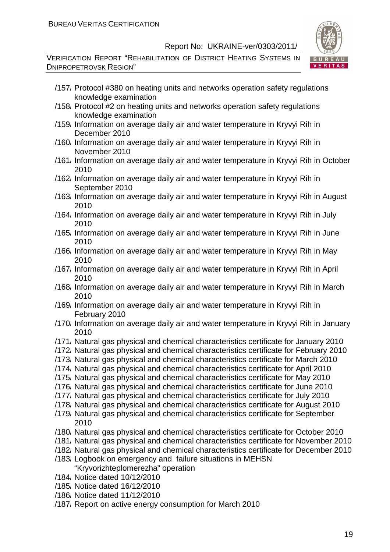

- /157/ Protocol #380 on heating units and networks operation safety regulations knowledge examination
- /158/ Protocol #2 on heating units and networks operation safety regulations knowledge examination
- /159/ Information on average daily air and water temperature in Kryvyi Rih in December 2010
- /160/ Information on average daily air and water temperature in Kryvyi Rih in November 2010
- /161/ Information on average daily air and water temperature in Kryvyi Rih in October 2010
- /162/ Information on average daily air and water temperature in Kryvyi Rih in September 2010
- /163/ Information on average daily air and water temperature in Kryvyi Rih in August 2010
- /164/ Information on average daily air and water temperature in Kryvyi Rih in July 2010
- /165/ Information on average daily air and water temperature in Kryvyi Rih in June 2010
- /166/ Information on average daily air and water temperature in Kryvyi Rih in May 2010
- /167/ Information on average daily air and water temperature in Kryvyi Rih in April 2010
- /168/ Information on average daily air and water temperature in Kryvyi Rih in March 2010
- /169/ Information on average daily air and water temperature in Kryvyi Rih in February 2010
- /170/ Information on average daily air and water temperature in Kryvyi Rih in January 2010
- /171/ Natural gas physical and chemical characteristics certificate for January 2010
- /172/ Natural gas physical and chemical characteristics certificate for February 2010
- /173/ Natural gas physical and chemical characteristics certificate for March 2010
- /174/ Natural gas physical and chemical characteristics certificate for April 2010
- /175/ Natural gas physical and chemical characteristics certificate for May 2010
- /176/ Natural gas physical and chemical characteristics certificate for June 2010
- /177/ Natural gas physical and chemical characteristics certificate for July 2010
- /178/ Natural gas physical and chemical characteristics certificate for August 2010
- /179/ Natural gas physical and chemical characteristics certificate for September 2010
- /180/ Natural gas physical and chemical characteristics certificate for October 2010
- /181/ Natural gas physical and chemical characteristics certificate for November 2010
- /182/ Natural gas physical and chemical characteristics certificate for December 2010
- /183/ Logbook on emergency and failure situations in MEHSN "Kryvorizhteplomerezha" operation
- /184/ Notice dated 10/12/2010
- /185/ Notice dated 16/12/2010
- /186/ Notice dated 11/12/2010
- /187/ Report on active energy consumption for March 2010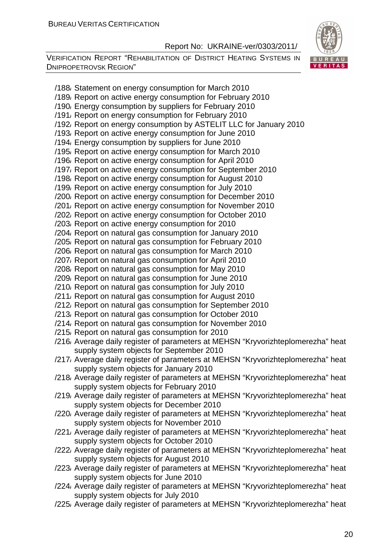VERIFICATION REPORT "REHABILITATION OF DISTRICT HEATING SYSTEMS IN DNIPROPETROVSK REGION"



/188/ Statement on energy consumption for March 2010 /189/ Report on active energy consumption for February 2010 /190/ Energy consumption by suppliers for February 2010 /191/ Report on energy consumption for February 2010 /192/ Report on energy consumption by ASTELIT LLC for January 2010 /193/ Report on active energy consumption for June 2010 /194/ Energy consumption by suppliers for June 2010 /195/ Report on active energy consumption for March 2010 /196/ Report on active energy consumption for April 2010 /197/ Report on active energy consumption for September 2010 /198/ Report on active energy consumption for August 2010 /199/ Report on active energy consumption for July 2010 /200/ Report on active energy consumption for December 2010 /201/ Report on active energy consumption for November 2010 /202/ Report on active energy consumption for October 2010 /203/ Report on active energy consumption for 2010 /204/ Report on natural gas consumption for January 2010 /205/ Report on natural gas consumption for February 2010 /206/ Report on natural gas consumption for March 2010 /207/ Report on natural gas consumption for April 2010 /208/ Report on natural gas consumption for May 2010 /209/ Report on natural gas consumption for June 2010 /210/ Report on natural gas consumption for July 2010 /211/ Report on natural gas consumption for August 2010 /212/ Report on natural gas consumption for September 2010 /213/ Report on natural gas consumption for October 2010 /214/ Report on natural gas consumption for November 2010 /215/ Report on natural gas consumption for 2010 /216/ Average daily register of parameters at MEHSN "Kryvorizhteplomerezha" heat supply system objects for September 2010 /217/ Average daily register of parameters at MEHSN "Kryvorizhteplomerezha" heat supply system objects for January 2010 /218/ Average daily register of parameters at MEHSN "Kryvorizhteplomerezha" heat supply system objects for February 2010 /219/ Average daily register of parameters at MEHSN "Kryvorizhteplomerezha" heat supply system objects for December 2010 /220/ Average daily register of parameters at MEHSN "Kryvorizhteplomerezha" heat supply system objects for November 2010 /221/ Average daily register of parameters at MEHSN "Kryvorizhteplomerezha" heat supply system objects for October 2010 /222/ Average daily register of parameters at MEHSN "Kryvorizhteplomerezha" heat supply system objects for August 2010 /223/ Average daily register of parameters at MEHSN "Kryvorizhteplomerezha" heat supply system objects for June 2010 /224/ Average daily register of parameters at MEHSN "Kryvorizhteplomerezha" heat supply system objects for July 2010 /225/ Average daily register of parameters at MEHSN "Kryvorizhteplomerezha" heat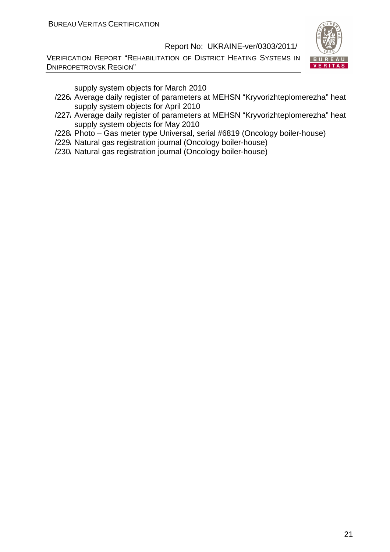VERIFICATION REPORT "REHABILITATION OF DISTRICT HEATING SYSTEMS IN DNIPROPETROVSK REGION"



supply system objects for March 2010

- /226/ Average daily register of parameters at MEHSN "Kryvorizhteplomerezha" heat supply system objects for April 2010
- /227/ Average daily register of parameters at MEHSN "Kryvorizhteplomerezha" heat supply system objects for May 2010
- /228/ Photo Gas meter type Universal, serial #6819 (Oncology boiler-house)
- /229/ Natural gas registration journal (Oncology boiler-house)
- /230/ Natural gas registration journal (Oncology boiler-house)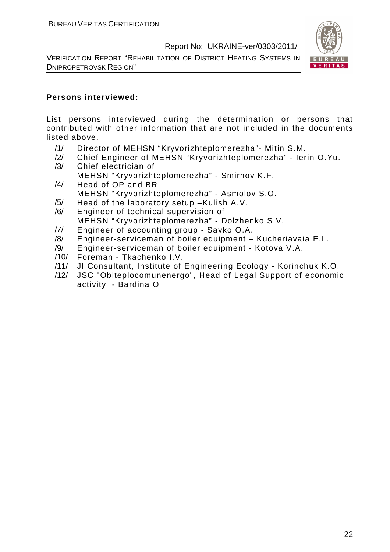VERIFICATION REPORT "REHABILITATION OF DISTRICT HEATING SYSTEMS IN DNIPROPETROVSK REGION"



#### **Persons interviewed:**

List persons interviewed during the determination or persons that contributed with other information that are not included in the documents listed above.

- /1/ Director of MEHSN "Kryvorizhteplomerezha"- Mitin S.M.
- /2/ Chief Engineer of MEHSN "Kryvorizhteplomerezha" Ierin O.Yu. /3/ Сhief electrician of
	- MEHSN "Kryvorizhteplomerezha" Smirnov K.F.
- /4/ Head of OP and BR MEHSN "Kryvorizhteplomerezha" - Asmolov S.O.
- /5/ Head of the laboratory setup –Kulish A.V.
- /6/ Engineer of technical supervision of MEHSN "Kryvorizhteplomerezha" - Dolzhenko S.V.
- /7/ Engineer of accounting group Savko O.A.
- /8/ Engineer-serviceman of boiler equipment Kucheriavaia E.L.
- /9/ Engineer-serviceman of boiler equipment Kotova V.A.
- /10/ Foreman Tkachenko I.V.
- /11/ JI Consultant, Institute of Engineering Ecology Korinchuk K.O.
- /12/ JSC "Oblteplocomunenergo", Head of Legal Support of economic activity - Bardina O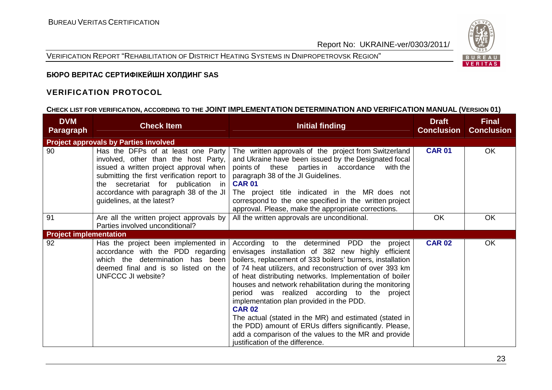VERIFICATION REPORT "REHABILITATION OF DISTRICT HEATING SYSTEMS IN DNIPROPETROVSK REGION"



# **БЮРО ВЕРІТАС СЕРТИФІКЕЙШН ХОЛДИНГ SAS**

#### **VERIFICATION PROTOCOL**

# **CHECK LIST FOR VERIFICATION, ACCORDING TO THE JOINT IMPLEMENTATION DETERMINATION AND VERIFICATION MANUAL (VERSION 01)**

| <b>DVM</b><br><b>Paragraph</b> | <b>Check Item</b>                                                                                                                                                                                                                                                                 | <b>Initial finding</b>                                                                                                                                                                                                                                                                                                                                                                                                                                                                                                                                                                                                                                                        | <b>Draft</b><br><b>Conclusion</b> | <b>Final</b><br><b>Conclusion</b> |
|--------------------------------|-----------------------------------------------------------------------------------------------------------------------------------------------------------------------------------------------------------------------------------------------------------------------------------|-------------------------------------------------------------------------------------------------------------------------------------------------------------------------------------------------------------------------------------------------------------------------------------------------------------------------------------------------------------------------------------------------------------------------------------------------------------------------------------------------------------------------------------------------------------------------------------------------------------------------------------------------------------------------------|-----------------------------------|-----------------------------------|
|                                | <b>Project approvals by Parties involved</b>                                                                                                                                                                                                                                      |                                                                                                                                                                                                                                                                                                                                                                                                                                                                                                                                                                                                                                                                               |                                   |                                   |
| 90                             | Has the DFPs of at least one Party<br>involved, other than the host Party,<br>issued a written project approval when<br>submitting the first verification report to<br>the secretariat for publication in<br>accordance with paragraph 38 of the JI<br>guidelines, at the latest? | The written approvals of the project from Switzerland<br>and Ukraine have been issued by the Designated focal<br>points of these parties in accordance<br>with the<br>paragraph 38 of the JI Guidelines.<br><b>CAR 01</b><br>The project title indicated in the MR does not<br>correspond to the one specified in the written project<br>approval. Please, make the appropriate corrections.                                                                                                                                                                                                                                                                                  | <b>CAR 01</b>                     | OK                                |
| 91                             | Are all the written project approvals by<br>Parties involved unconditional?                                                                                                                                                                                                       | All the written approvals are unconditional.                                                                                                                                                                                                                                                                                                                                                                                                                                                                                                                                                                                                                                  | <b>OK</b>                         | OK                                |
| <b>Project implementation</b>  |                                                                                                                                                                                                                                                                                   |                                                                                                                                                                                                                                                                                                                                                                                                                                                                                                                                                                                                                                                                               |                                   |                                   |
| 92                             | Has the project been implemented in<br>accordance with the PDD regarding<br>which the determination has been<br>deemed final and is so listed on the<br>UNFCCC JI website?                                                                                                        | According to the determined PDD the project<br>envisages installation of 382 new highly efficient<br>boilers, replacement of 333 boilers' burners, installation<br>of 74 heat utilizers, and reconstruction of over 393 km<br>of heat distributing networks. Implementation of boiler<br>houses and network rehabilitation during the monitoring<br>period was realized according to the project<br>implementation plan provided in the PDD.<br><b>CAR 02</b><br>The actual (stated in the MR) and estimated (stated in<br>the PDD) amount of ERUs differs significantly. Please,<br>add a comparison of the values to the MR and provide<br>justification of the difference. | <b>CAR 02</b>                     | OK                                |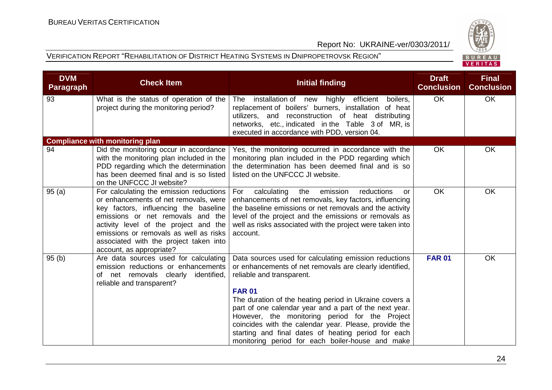



| <b>DVM</b><br><b>Paragraph</b> | <b>Check Item</b>                                                                                                                                                                                                                                                                                                       | <b>Initial finding</b>                                                                                                                                                                                                                                                                                                                                                                                                                                                                                   | <b>Draft</b><br><b>Conclusion</b> | <b>Final</b><br><b>Conclusion</b> |
|--------------------------------|-------------------------------------------------------------------------------------------------------------------------------------------------------------------------------------------------------------------------------------------------------------------------------------------------------------------------|----------------------------------------------------------------------------------------------------------------------------------------------------------------------------------------------------------------------------------------------------------------------------------------------------------------------------------------------------------------------------------------------------------------------------------------------------------------------------------------------------------|-----------------------------------|-----------------------------------|
| 93                             | What is the status of operation of the<br>project during the monitoring period?                                                                                                                                                                                                                                         | The installation of new highly efficient boilers,<br>replacement of boilers' burners, installation of heat<br>utilizers, and reconstruction of heat distributing<br>networks, etc., indicated in the Table 3 of MR, is<br>executed in accordance with PDD, version 04.                                                                                                                                                                                                                                   | <b>OK</b>                         | OK                                |
|                                | <b>Compliance with monitoring plan</b>                                                                                                                                                                                                                                                                                  |                                                                                                                                                                                                                                                                                                                                                                                                                                                                                                          |                                   |                                   |
| 94                             | Did the monitoring occur in accordance<br>with the monitoring plan included in the<br>PDD regarding which the determination<br>has been deemed final and is so listed<br>on the UNFCCC JI website?                                                                                                                      | Yes, the monitoring occurred in accordance with the<br>monitoring plan included in the PDD regarding which<br>the determination has been deemed final and is so<br>listed on the UNFCCC JI website.                                                                                                                                                                                                                                                                                                      | <b>OK</b>                         | OK                                |
| 95(a)                          | For calculating the emission reductions<br>or enhancements of net removals, were<br>key factors, influencing the baseline<br>emissions or net removals and the<br>activity level of the project and the<br>emissions or removals as well as risks<br>associated with the project taken into<br>account, as appropriate? | For<br>calculating<br>the<br>emission<br>reductions<br>or<br>enhancements of net removals, key factors, influencing<br>the baseline emissions or net removals and the activity<br>level of the project and the emissions or removals as<br>well as risks associated with the project were taken into<br>account.                                                                                                                                                                                         | <b>OK</b>                         | OK                                |
| 95(b)                          | Are data sources used for calculating<br>emission reductions or enhancements<br>of net removals clearly<br>identified,<br>reliable and transparent?                                                                                                                                                                     | Data sources used for calculating emission reductions<br>or enhancements of net removals are clearly identified,<br>reliable and transparent.<br><b>FAR 01</b><br>The duration of the heating period in Ukraine covers a<br>part of one calendar year and a part of the next year.<br>However, the monitoring period for the Project<br>coincides with the calendar year. Please, provide the<br>starting and final dates of heating period for each<br>monitoring period for each boiler-house and make | <b>FAR 01</b>                     | OK                                |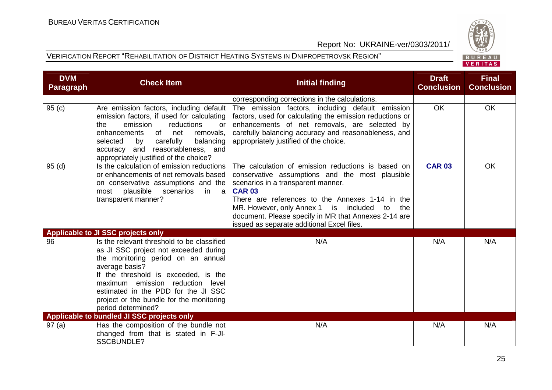



| <b>DVM</b><br><b>Paragraph</b> | <b>Check Item</b>                                                                                                                                                                                                                                                                                                                | <b>Initial finding</b>                                                                                                                                                                                                                                                                                                                                                   | <b>Draft</b><br><b>Conclusion</b> | <b>Final</b><br><b>Conclusion</b> |
|--------------------------------|----------------------------------------------------------------------------------------------------------------------------------------------------------------------------------------------------------------------------------------------------------------------------------------------------------------------------------|--------------------------------------------------------------------------------------------------------------------------------------------------------------------------------------------------------------------------------------------------------------------------------------------------------------------------------------------------------------------------|-----------------------------------|-----------------------------------|
|                                |                                                                                                                                                                                                                                                                                                                                  | corresponding corrections in the calculations.                                                                                                                                                                                                                                                                                                                           |                                   |                                   |
| 95(c)                          | Are emission factors, including default<br>emission factors, if used for calculating<br>the<br>emission<br>reductions<br>or<br>of<br>net<br>enhancements<br>removals,<br>carefully<br>balancing<br>selected<br>by<br>and reasonableness, and<br>accuracy<br>appropriately justified of the choice?                               | The emission factors, including default emission<br>factors, used for calculating the emission reductions or<br>enhancements of net removals, are selected by<br>carefully balancing accuracy and reasonableness, and<br>appropriately justified of the choice.                                                                                                          | <b>OK</b>                         | OK                                |
| 95(d)                          | Is the calculation of emission reductions<br>or enhancements of net removals based<br>on conservative assumptions and the<br>plausible scenarios<br>most<br>in.<br>- a<br>transparent manner?                                                                                                                                    | The calculation of emission reductions is based on<br>conservative assumptions and the most plausible<br>scenarios in a transparent manner.<br><b>CAR 03</b><br>There are references to the Annexes 1-14 in the<br>MR. However, only Annex 1 is included to<br>the<br>document. Please specify in MR that Annexes 2-14 are<br>issued as separate additional Excel files. | <b>CAR 03</b>                     | OK                                |
|                                | Applicable to JI SSC projects only                                                                                                                                                                                                                                                                                               |                                                                                                                                                                                                                                                                                                                                                                          |                                   |                                   |
| 96                             | Is the relevant threshold to be classified<br>as JI SSC project not exceeded during<br>the monitoring period on an annual<br>average basis?<br>If the threshold is exceeded, is the<br>maximum emission reduction level<br>estimated in the PDD for the JI SSC<br>project or the bundle for the monitoring<br>period determined? | N/A                                                                                                                                                                                                                                                                                                                                                                      | N/A                               | N/A                               |
|                                | Applicable to bundled JI SSC projects only                                                                                                                                                                                                                                                                                       |                                                                                                                                                                                                                                                                                                                                                                          |                                   |                                   |
| 97(a)                          | Has the composition of the bundle not<br>changed from that is stated in F-JI-<br><b>SSCBUNDLE?</b>                                                                                                                                                                                                                               | N/A                                                                                                                                                                                                                                                                                                                                                                      | N/A                               | N/A                               |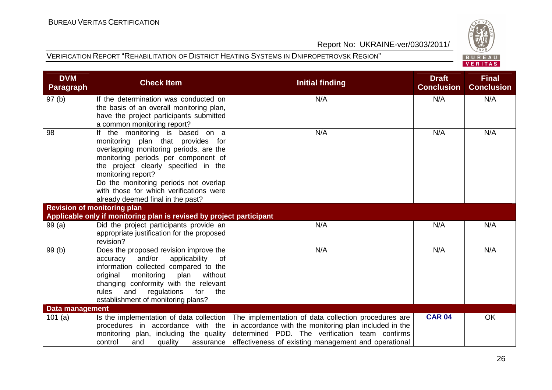



| <b>DVM</b><br><b>Paragraph</b> | <b>Check Item</b>                                                                                                                                                                                                                                                                                                                             | <b>Initial finding</b>                                                                                                                                                                                                   | <b>Draft</b><br><b>Conclusion</b> | <b>Final</b><br><b>Conclusion</b> |
|--------------------------------|-----------------------------------------------------------------------------------------------------------------------------------------------------------------------------------------------------------------------------------------------------------------------------------------------------------------------------------------------|--------------------------------------------------------------------------------------------------------------------------------------------------------------------------------------------------------------------------|-----------------------------------|-----------------------------------|
| 97(b)                          | If the determination was conducted on<br>the basis of an overall monitoring plan,<br>have the project participants submitted<br>a common monitoring report?                                                                                                                                                                                   | N/A                                                                                                                                                                                                                      | N/A                               | N/A                               |
| 98                             | If the monitoring is based on a<br>monitoring plan that provides for<br>overlapping monitoring periods, are the<br>monitoring periods per component of<br>the project clearly specified in the<br>monitoring report?<br>Do the monitoring periods not overlap<br>with those for which verifications were<br>already deemed final in the past? | N/A                                                                                                                                                                                                                      | N/A                               | N/A                               |
|                                | <b>Revision of monitoring plan</b>                                                                                                                                                                                                                                                                                                            |                                                                                                                                                                                                                          |                                   |                                   |
|                                | Applicable only if monitoring plan is revised by project participant                                                                                                                                                                                                                                                                          |                                                                                                                                                                                                                          |                                   |                                   |
| 99(a)                          | Did the project participants provide an<br>appropriate justification for the proposed<br>revision?                                                                                                                                                                                                                                            | N/A                                                                                                                                                                                                                      | N/A                               | N/A                               |
| 99(b)                          | Does the proposed revision improve the<br>accuracy and/or<br>applicability<br>of<br>information collected compared to the<br>original<br>monitoring<br>plan<br>without<br>changing conformity with the relevant<br>rules<br>and<br>regulations for<br>the<br>establishment of monitoring plans?                                               | N/A                                                                                                                                                                                                                      | N/A                               | N/A                               |
| <b>Data management</b>         |                                                                                                                                                                                                                                                                                                                                               |                                                                                                                                                                                                                          |                                   |                                   |
| 101(a)                         | Is the implementation of data collection<br>procedures in accordance with the<br>monitoring plan, including the quality<br>control<br>and<br>quality<br>assurance                                                                                                                                                                             | The implementation of data collection procedures are<br>in accordance with the monitoring plan included in the<br>determined PDD. The verification team confirms<br>effectiveness of existing management and operational | <b>CAR 04</b>                     | OK                                |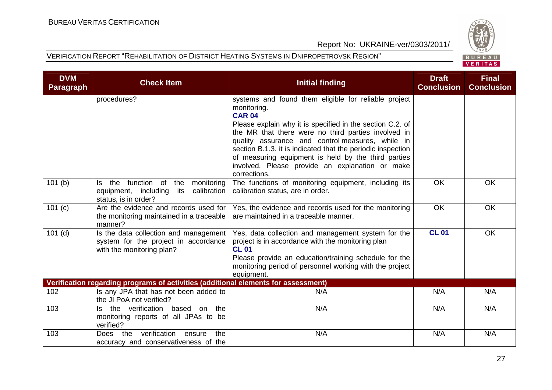



| <b>DVM</b><br><b>Paragraph</b> | <b>Check Item</b>                                                                                                 | <b>Initial finding</b>                                                                                                                                                                                                                                                                                                                                                                                                                                | <b>Draft</b><br><b>Conclusion</b> | <b>Final</b><br><b>Conclusion</b> |
|--------------------------------|-------------------------------------------------------------------------------------------------------------------|-------------------------------------------------------------------------------------------------------------------------------------------------------------------------------------------------------------------------------------------------------------------------------------------------------------------------------------------------------------------------------------------------------------------------------------------------------|-----------------------------------|-----------------------------------|
|                                | procedures?                                                                                                       | systems and found them eligible for reliable project<br>monitoring.<br><b>CAR 04</b><br>Please explain why it is specified in the section C.2. of<br>the MR that there were no third parties involved in<br>quality assurance and control measures, while in<br>section B.1.3. it is indicated that the periodic inspection<br>of measuring equipment is held by the third parties<br>involved. Please provide an explanation or make<br>corrections. |                                   |                                   |
| 101(b)                         | the function of<br>the<br>monitoring<br>ls.<br>equipment, including<br>calibration<br>its<br>status, is in order? | The functions of monitoring equipment, including its<br>calibration status, are in order.                                                                                                                                                                                                                                                                                                                                                             | <b>OK</b>                         | <b>OK</b>                         |
| $\overline{101}$ (c)           | Are the evidence and records used for<br>the monitoring maintained in a traceable<br>manner?                      | Yes, the evidence and records used for the monitoring<br>are maintained in a traceable manner.                                                                                                                                                                                                                                                                                                                                                        | <b>OK</b>                         | OK                                |
| $101$ (d)                      | Is the data collection and management<br>system for the project in accordance<br>with the monitoring plan?        | Yes, data collection and management system for the<br>project is in accordance with the monitoring plan<br><b>CL 01</b><br>Please provide an education/training schedule for the<br>monitoring period of personnel working with the project<br>equipment.                                                                                                                                                                                             | <b>CL 01</b>                      | <b>OK</b>                         |
|                                | Verification regarding programs of activities (additional elements for assessment)                                |                                                                                                                                                                                                                                                                                                                                                                                                                                                       |                                   |                                   |
| 102                            | Is any JPA that has not been added to<br>the JI PoA not verified?                                                 | N/A                                                                                                                                                                                                                                                                                                                                                                                                                                                   | N/A                               | N/A                               |
| 103                            | Is the verification based on<br>the<br>monitoring reports of all JPAs to be<br>verified?                          | N/A                                                                                                                                                                                                                                                                                                                                                                                                                                                   | N/A                               | N/A                               |
| 103                            | verification<br>the<br>the<br>ensure<br><b>Does</b><br>accuracy and conservativeness of the                       | N/A                                                                                                                                                                                                                                                                                                                                                                                                                                                   | N/A                               | N/A                               |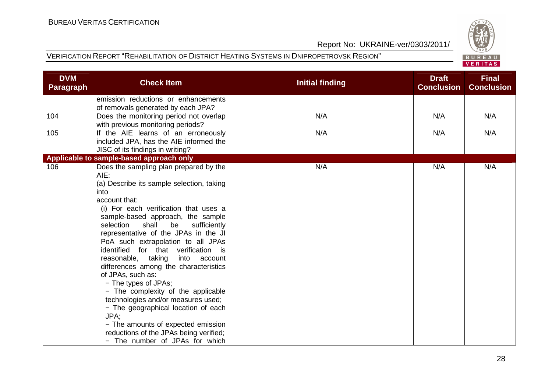



| <b>DVM</b><br><b>Paragraph</b> | <b>Check Item</b>                                                                                                                                                                                                                                                                                                                                                                                                                                                                                                                                                                                                                                                                                                                            | <b>Initial finding</b> | <b>Draft</b><br><b>Conclusion</b> | <b>Final</b><br><b>Conclusion</b> |
|--------------------------------|----------------------------------------------------------------------------------------------------------------------------------------------------------------------------------------------------------------------------------------------------------------------------------------------------------------------------------------------------------------------------------------------------------------------------------------------------------------------------------------------------------------------------------------------------------------------------------------------------------------------------------------------------------------------------------------------------------------------------------------------|------------------------|-----------------------------------|-----------------------------------|
|                                | emission reductions or enhancements<br>of removals generated by each JPA?                                                                                                                                                                                                                                                                                                                                                                                                                                                                                                                                                                                                                                                                    |                        |                                   |                                   |
| 104                            | Does the monitoring period not overlap<br>with previous monitoring periods?                                                                                                                                                                                                                                                                                                                                                                                                                                                                                                                                                                                                                                                                  | N/A                    | N/A                               | N/A                               |
| 105                            | If the AIE learns of an erroneously<br>included JPA, has the AIE informed the<br>JISC of its findings in writing?                                                                                                                                                                                                                                                                                                                                                                                                                                                                                                                                                                                                                            | N/A                    | N/A                               | N/A                               |
|                                | Applicable to sample-based approach only                                                                                                                                                                                                                                                                                                                                                                                                                                                                                                                                                                                                                                                                                                     |                        |                                   |                                   |
| 106                            | Does the sampling plan prepared by the<br>AIE:<br>(a) Describe its sample selection, taking<br>into<br>account that:<br>(i) For each verification that uses a<br>sample-based approach, the sample<br>shall<br>be<br>selection<br>sufficiently<br>representative of the JPAs in the JI<br>PoA such extrapolation to all JPAs<br>identified for that verification is<br>reasonable, taking<br>into account<br>differences among the characteristics<br>of JPAs, such as:<br>- The types of JPAs;<br>- The complexity of the applicable<br>technologies and/or measures used;<br>- The geographical location of each<br>JPA:<br>- The amounts of expected emission<br>reductions of the JPAs being verified;<br>- The number of JPAs for which | N/A                    | N/A                               | N/A                               |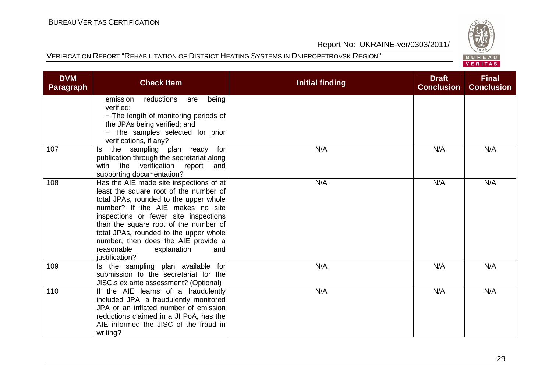

|  |  | FRIT |  |  |  |
|--|--|------|--|--|--|

| <b>DVM</b><br><b>Paragraph</b> | <b>Check Item</b>                                                                                                                                                                                                                                                                                                                                                                        | <b>Initial finding</b> | <b>Draft</b><br><b>Conclusion</b> | <b>Final</b><br><b>Conclusion</b> |
|--------------------------------|------------------------------------------------------------------------------------------------------------------------------------------------------------------------------------------------------------------------------------------------------------------------------------------------------------------------------------------------------------------------------------------|------------------------|-----------------------------------|-----------------------------------|
|                                | emission<br>reductions<br>being<br>are<br>verified;<br>- The length of monitoring periods of<br>the JPAs being verified; and<br>- The samples selected for prior<br>verifications, if any?                                                                                                                                                                                               |                        |                                   |                                   |
| 107                            | the sampling plan ready<br>ls.<br>for<br>publication through the secretariat along<br>with the verification report<br>and<br>supporting documentation?                                                                                                                                                                                                                                   | N/A                    | N/A                               | N/A                               |
| 108                            | Has the AIE made site inspections of at<br>least the square root of the number of<br>total JPAs, rounded to the upper whole<br>number? If the AIE makes no site<br>inspections or fewer site inspections<br>than the square root of the number of<br>total JPAs, rounded to the upper whole<br>number, then does the AIE provide a<br>reasonable<br>explanation<br>and<br>justification? | N/A                    | N/A                               | N/A                               |
| 109                            | Is the sampling plan available for<br>submission to the secretariat for the<br>JISC.s ex ante assessment? (Optional)                                                                                                                                                                                                                                                                     | N/A                    | N/A                               | N/A                               |
| 110                            | If the AIE learns of a fraudulently<br>included JPA, a fraudulently monitored<br>JPA or an inflated number of emission<br>reductions claimed in a JI PoA, has the<br>AIE informed the JISC of the fraud in<br>writing?                                                                                                                                                                   | N/A                    | N/A                               | N/A                               |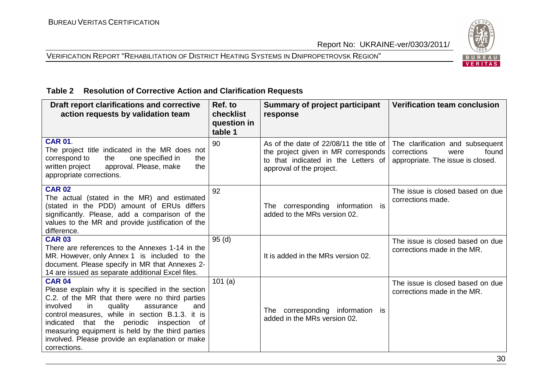#### VERIFICATION REPORT "REHABILITATION OF DISTRICT HEATING SYSTEMS IN DNIPROPETROVSK REGION"



#### **Table 2 Resolution of Corrective Action and Clarification Requests**

| Draft report clarifications and corrective<br>action requests by validation team                                                                                                                                                                                                                                                                                                                 | Ref. to<br>checklist<br>question in<br>table 1 | Summary of project participant<br>response                                                                                                          | <b>Verification team conclusion</b>                                                                   |
|--------------------------------------------------------------------------------------------------------------------------------------------------------------------------------------------------------------------------------------------------------------------------------------------------------------------------------------------------------------------------------------------------|------------------------------------------------|-----------------------------------------------------------------------------------------------------------------------------------------------------|-------------------------------------------------------------------------------------------------------|
| <b>CAR 01.</b><br>The project title indicated in the MR does not<br>correspond to<br>the<br>one specified in<br>the<br>written project<br>approval. Please, make<br>the<br>appropriate corrections.                                                                                                                                                                                              | 90                                             | As of the date of 22/08/11 the title of I<br>the project given in MR corresponds<br>to that indicated in the Letters of<br>approval of the project. | The clarification and subsequent<br>corrections<br>found<br>were<br>appropriate. The issue is closed. |
| <b>CAR 02</b><br>The actual (stated in the MR) and estimated<br>(stated in the PDD) amount of ERUs differs<br>significantly. Please, add a comparison of the<br>values to the MR and provide justification of the<br>difference.                                                                                                                                                                 | 92                                             | The corresponding information is<br>added to the MRs version 02.                                                                                    | The issue is closed based on due<br>corrections made.                                                 |
| <b>CAR 03</b><br>There are references to the Annexes 1-14 in the<br>MR. However, only Annex 1 is included to the<br>document. Please specify in MR that Annexes 2-<br>14 are issued as separate additional Excel files.                                                                                                                                                                          | 95(d)                                          | It is added in the MRs version 02.                                                                                                                  | The issue is closed based on due<br>corrections made in the MR.                                       |
| <b>CAR 04</b><br>Please explain why it is specified in the section<br>C.2. of the MR that there were no third parties<br>involved<br>in<br>quality<br>assurance<br>and<br>control measures, while in section B.1.3. it is<br>indicated that the periodic inspection<br>of<br>measuring equipment is held by the third parties<br>involved. Please provide an explanation or make<br>corrections. | 101(a)                                         | The corresponding information is<br>added in the MRs version 02.                                                                                    | The issue is closed based on due<br>corrections made in the MR.                                       |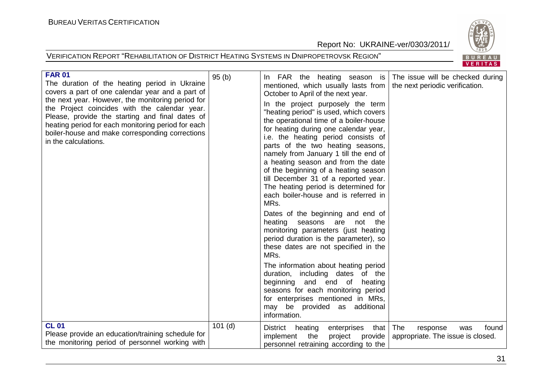

| <b>FAR 01</b><br>The duration of the heating period in Ukraine<br>covers a part of one calendar year and a part of<br>the next year. However, the monitoring period for<br>the Project coincides with the calendar year.<br>Please, provide the starting and final dates of<br>heating period for each monitoring period for each<br>boiler-house and make corresponding corrections<br>in the calculations. | 95(b)     | In FAR the heating season is<br>mentioned, which usually lasts from<br>October to April of the next year.<br>In the project purposely the term<br>"heating period" is used, which covers<br>the operational time of a boiler-house<br>for heating during one calendar year,<br>i.e. the heating period consists of<br>parts of the two heating seasons,<br>namely from January 1 till the end of<br>a heating season and from the date<br>of the beginning of a heating season<br>till December 31 of a reported year.<br>The heating period is determined for<br>each boiler-house and is referred in<br>MRs.<br>Dates of the beginning and end of<br>heating seasons are not the<br>monitoring parameters (just heating<br>period duration is the parameter), so<br>these dates are not specified in the<br>MRs.<br>The information about heating period<br>duration, including dates of the<br>beginning and end of<br>heating<br>seasons for each monitoring period<br>for enterprises mentioned in MRs,<br>may be provided as additional<br>information. | The issue will be checked during<br>the next periodic verification. |
|--------------------------------------------------------------------------------------------------------------------------------------------------------------------------------------------------------------------------------------------------------------------------------------------------------------------------------------------------------------------------------------------------------------|-----------|---------------------------------------------------------------------------------------------------------------------------------------------------------------------------------------------------------------------------------------------------------------------------------------------------------------------------------------------------------------------------------------------------------------------------------------------------------------------------------------------------------------------------------------------------------------------------------------------------------------------------------------------------------------------------------------------------------------------------------------------------------------------------------------------------------------------------------------------------------------------------------------------------------------------------------------------------------------------------------------------------------------------------------------------------------------|---------------------------------------------------------------------|
| <b>CL 01</b><br>Please provide an education/training schedule for<br>the monitoring period of personnel working with                                                                                                                                                                                                                                                                                         | $101$ (d) | that   The<br><b>District</b><br>heating<br>enterprises<br>implement<br>the<br>provide<br>project<br>personnel retraining according to the                                                                                                                                                                                                                                                                                                                                                                                                                                                                                                                                                                                                                                                                                                                                                                                                                                                                                                                    | found<br>response<br>was<br>appropriate. The issue is closed.       |